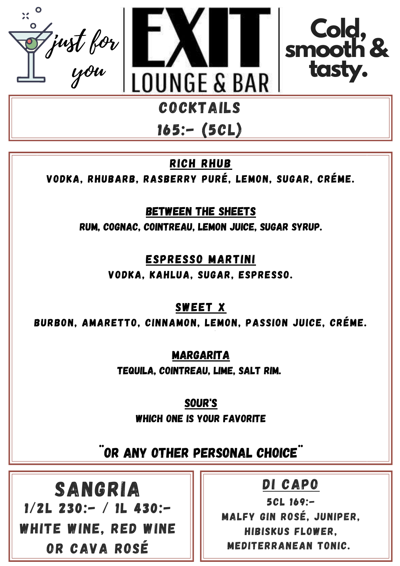





## $165:- (5CL)$

RICH RHUB

VODKA, Rhubarb, Rasberry Puré, Lemon, Sugar, Créme.

BETWEEN THE SHEETS

RUM, COGNAC, COINTREAU, LEMON JUICE, SUGAR SYRUP.

## ESPRESSO MARTINI

VODKA, KAHLUA, SUGAR, ESPRESSO.

SWEET x

*.* BURBON, AMARETTO, CINNAMON, LEMON, PASSION JUICE, Créme.

MARGARITA

TEQUILA, COINTREAU, LIME, SALT RIM.

SOUR'S

WHICH ONE IS YOUR FAVORITE

## ¨OR ANY OTHER PERSONAL CHOICE¨

SANGRIA 1/2L 230:- / 1L 430:- WHITE WINE, RED WINE OR CAVA ROSÉ

DI CAPO

5CL 169:- MALFY GIN ROSÉ, JUNIPER, HIBISKUS FLOWER, MEDITERRANEAN TONIC.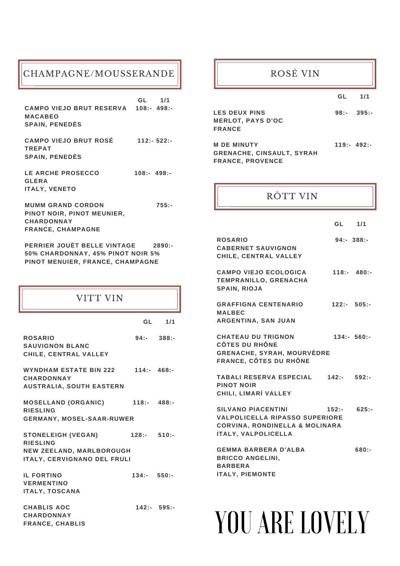### CHAMPAGNE/MOUSSERANDE

**GL 1/1 CAMPO VIEJO BRUT RESERVA 108:- 498:- MACABEO SPAIN, PENEDÈS**

**CAMPO VIEJO BRUT ROSÉ 112:- 522:- TREPAT SPAIN, PENEDÈS**

**LE ARCHE PROSECCO 108:- 498:- GLERA ITALY, VENETO**

**MUMM GRAND CORDON 755:- PINOT NOIR, PINOT MEUNIER, CHARDONNAY FRANCE, CHAMPAGNE**

**PERRIER JOUËT BELLE VINTAGE 2890:- 50% CHARDONNAY, 45% PINOT NOIR 5% PINOT MENUIER, FRANCE, CHAMPAGNE**

### VITT VIN

|                                                                                                                |               | GL 1/1        |
|----------------------------------------------------------------------------------------------------------------|---------------|---------------|
| <b>ROSARIO</b><br><b>SAUVIGNON BLANC</b><br>CHILE, CENTRAL VALLEY                                              |               | $94:- 388:-$  |
| WYNDHAM ESTATE BIN 222<br><b>CHARDONNAY</b><br><b>AUSTRALIA, SOUTH EASTERN</b>                                 | 114: 468:     |               |
| <b>MOSELLAND (ORGANIC)</b><br><b>RIESLING</b><br><b>GERMANY, MOSEL-SAAR-RUWER</b>                              | 118: 488:     |               |
| <b>STONELEIGH (VEGAN)</b><br><b>RIESLING</b><br>NEW ZEELAND, MARLBOROUGH<br><b>ITALY, CERVIGNANO DEL FRULI</b> | 128:510:      |               |
| <b>IL FORTINO</b><br><b>VERMENTINO</b><br><b>ITALY, TOSCANA</b>                                                | $134:- 550:-$ |               |
| <b>CHABLIS AOC</b>                                                                                             |               | $142:- 595:-$ |

**CHARDONNAY FRANCE, CHABLIS**

### ROSÉ VIN

**GL 1/1**

| <b>LES DEUX PINS</b>     | 98: 395: |
|--------------------------|----------|
| <b>MERLOT, PAYS D'OC</b> |          |
| <b>FRANCE</b>            |          |
|                          |          |
|                          |          |

**M DE MINUTY 119:- 492:- GRENACHE, CINSAULT, SYRAH FRANCE, PROVENCE**

### RÖTT VIN

| GL | 1/1 |
|----|-----|
|    |     |

| <b>ROSARIO</b><br><b>CABERNET SAUVIGNON</b><br>CHILE, CENTRAL VALLEY                                                                          |          | $94: -388: -$ |
|-----------------------------------------------------------------------------------------------------------------------------------------------|----------|---------------|
| <b>CAMPO VIEJO ECOLOGICA</b><br><b>TEMPRANILLO, GRENACHA</b><br><b>SPAIN, RIOJA</b>                                                           |          | 118: 480:     |
| <b>GRAFFIGNA CENTENARIO</b><br><b>MALBEC</b><br>ARGENTINA, SAN JUAN                                                                           |          | $122:- 505:-$ |
| <b>CHATEAU DU TRIGNON</b><br><b>CÔTES DU RHÔNE</b><br><b>GRENACHE, SYRAH, MOURVÈDRE</b><br><b>FRANCE, CÔTES DU RHÔNE</b>                      |          | 134:560:      |
| <b>TABALI RESERVA ESPECIAL</b><br><b>PINOT NOIR</b><br>CHILI, LIMARÍ VALLEY                                                                   | 142:     | 592:          |
| <b>SILVANO PIACENTINI</b><br><b>VALPOLICELLA RIPASSO SUPERIORE</b><br><b>CORVINA, RONDINELLA &amp; MOLINARA</b><br><b>ITALY, VALPOLICELLA</b> | $152: -$ | $625: -$      |
| <b>GEMMA BARBERA D'ALBA</b><br><b>BRICCO ANGELINI,</b><br><b>BARBERA</b><br><b>ITALY, PIEMONTE</b>                                            |          | $680: -$      |

# YOU ARE LOVELY